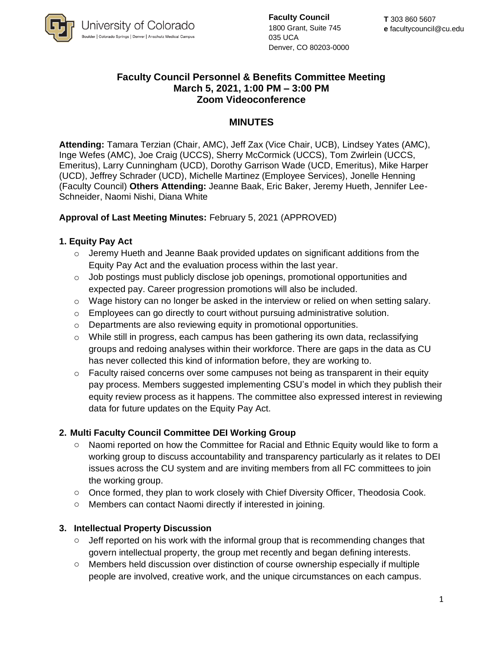

**Faculty Council** 1800 Grant, Suite 745 035 UCA Denver, CO 80203-0000

# **Faculty Council Personnel & Benefits Committee Meeting March 5, 2021, 1:00 PM – 3:00 PM Zoom Videoconference**

# **MINUTES**

**Attending:** Tamara Terzian (Chair, AMC), Jeff Zax (Vice Chair, UCB), Lindsey Yates (AMC), Inge Wefes (AMC), Joe Craig (UCCS), Sherry McCormick (UCCS), Tom Zwirlein (UCCS, Emeritus), Larry Cunningham (UCD), Dorothy Garrison Wade (UCD, Emeritus), Mike Harper (UCD), Jeffrey Schrader (UCD), Michelle Martinez (Employee Services), Jonelle Henning (Faculty Council) **Others Attending:** Jeanne Baak, Eric Baker, Jeremy Hueth, Jennifer Lee-Schneider, Naomi Nishi, Diana White

## **Approval of Last Meeting Minutes:** February 5, 2021 (APPROVED)

## **1. Equity Pay Act**

- $\circ$  Jeremy Hueth and Jeanne Baak provided updates on significant additions from the Equity Pay Act and the evaluation process within the last year.
- $\circ$  Job postings must publicly disclose job openings, promotional opportunities and expected pay. Career progression promotions will also be included.
- $\circ$  Wage history can no longer be asked in the interview or relied on when setting salary.
- $\circ$  Employees can go directly to court without pursuing administrative solution.
- o Departments are also reviewing equity in promotional opportunities.
- o While still in progress, each campus has been gathering its own data, reclassifying groups and redoing analyses within their workforce. There are gaps in the data as CU has never collected this kind of information before, they are working to.
- $\circ$  Faculty raised concerns over some campuses not being as transparent in their equity pay process. Members suggested implementing CSU's model in which they publish their equity review process as it happens. The committee also expressed interest in reviewing data for future updates on the Equity Pay Act.

## **2. Multi Faculty Council Committee DEI Working Group**

- o Naomi reported on how the Committee for Racial and Ethnic Equity would like to form a working group to discuss accountability and transparency particularly as it relates to DEI issues across the CU system and are inviting members from all FC committees to join the working group.
- o Once formed, they plan to work closely with Chief Diversity Officer, Theodosia Cook.
- o Members can contact Naomi directly if interested in joining.

#### **3. Intellectual Property Discussion**

- $\circ$  Jeff reported on his work with the informal group that is recommending changes that govern intellectual property, the group met recently and began defining interests.
- o Members held discussion over distinction of course ownership especially if multiple people are involved, creative work, and the unique circumstances on each campus.